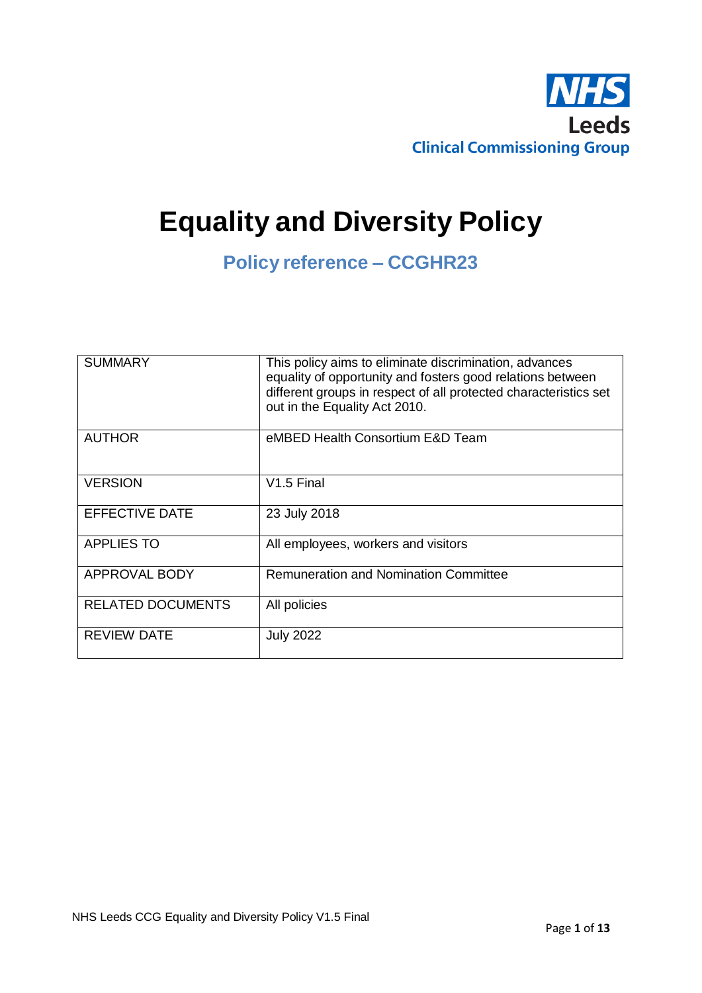

# **Equality and Diversity Policy**

**Policy reference – CCGHR23**

| <b>SUMMARY</b>           | This policy aims to eliminate discrimination, advances<br>equality of opportunity and fosters good relations between<br>different groups in respect of all protected characteristics set<br>out in the Equality Act 2010. |
|--------------------------|---------------------------------------------------------------------------------------------------------------------------------------------------------------------------------------------------------------------------|
| <b>AUTHOR</b>            | eMBED Health Consortium E&D Team                                                                                                                                                                                          |
| <b>VERSION</b>           | V1.5 Final                                                                                                                                                                                                                |
| <b>EFFECTIVE DATE</b>    | 23 July 2018                                                                                                                                                                                                              |
| <b>APPLIES TO</b>        | All employees, workers and visitors                                                                                                                                                                                       |
| <b>APPROVAL BODY</b>     | <b>Remuneration and Nomination Committee</b>                                                                                                                                                                              |
| <b>RELATED DOCUMENTS</b> | All policies                                                                                                                                                                                                              |
| <b>REVIEW DATE</b>       | <b>July 2022</b>                                                                                                                                                                                                          |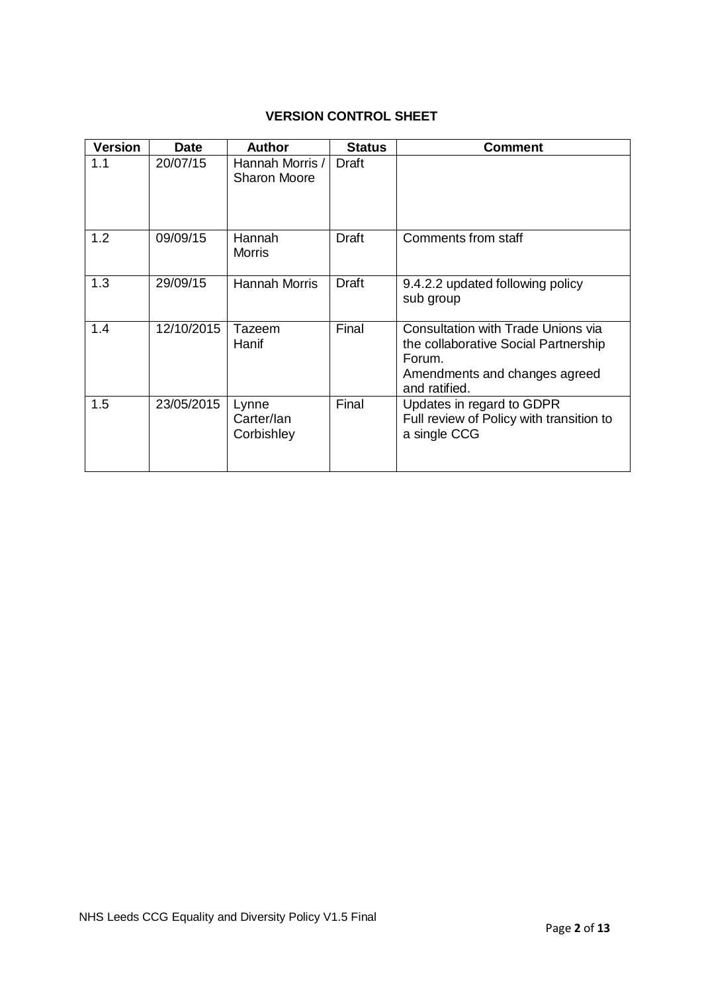# **VERSION CONTROL SHEET**

| <b>Version</b> | <b>Date</b> | <b>Author</b>                          | <b>Status</b> | <b>Comment</b>                                                                                                                                |
|----------------|-------------|----------------------------------------|---------------|-----------------------------------------------------------------------------------------------------------------------------------------------|
| 1.1            | 20/07/15    | Hannah Morris /<br><b>Sharon Moore</b> | Draft         |                                                                                                                                               |
| 1.2            | 09/09/15    | Hannah<br><b>Morris</b>                | Draft         | Comments from staff                                                                                                                           |
| 1.3            | 29/09/15    | <b>Hannah Morris</b>                   | Draft         | 9.4.2.2 updated following policy<br>sub group                                                                                                 |
| 1.4            | 12/10/2015  | Tazeem<br>Hanif                        | Final         | <b>Consultation with Trade Unions via</b><br>the collaborative Social Partnership<br>Forum.<br>Amendments and changes agreed<br>and ratified. |
| 1.5            | 23/05/2015  | Lynne<br>Carter/lan<br>Corbishley      | Final         | Updates in regard to GDPR<br>Full review of Policy with transition to<br>a single CCG                                                         |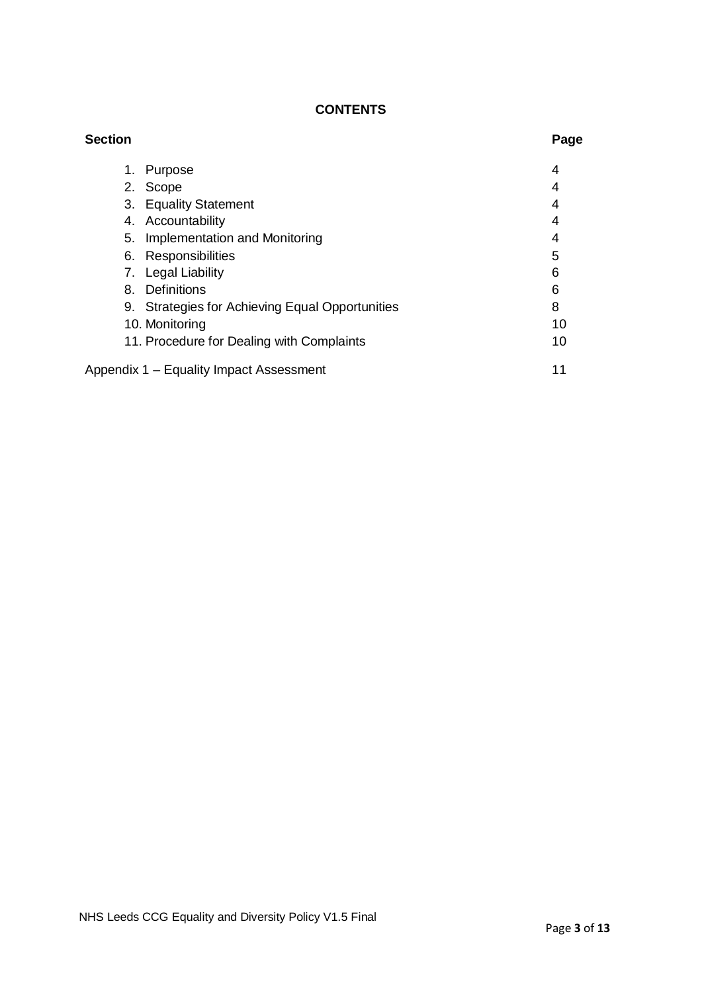# **CONTENTS**

| <b>Section</b> |                                                 | Page |
|----------------|-------------------------------------------------|------|
| 1.             | Purpose                                         | 4    |
|                | 2. Scope                                        | 4    |
|                | 3. Equality Statement                           | 4    |
|                | 4. Accountability                               | 4    |
| 5.             | Implementation and Monitoring                   | 4    |
|                | 6. Responsibilities                             | 5    |
|                | 7. Legal Liability                              | 6    |
| 8.             | <b>Definitions</b>                              | 6    |
|                | 9. Strategies for Achieving Equal Opportunities | 8    |
|                | 10. Monitoring                                  | 10   |
|                | 11. Procedure for Dealing with Complaints       | 10   |
|                | Appendix 1 - Equality Impact Assessment         | 11   |
|                |                                                 |      |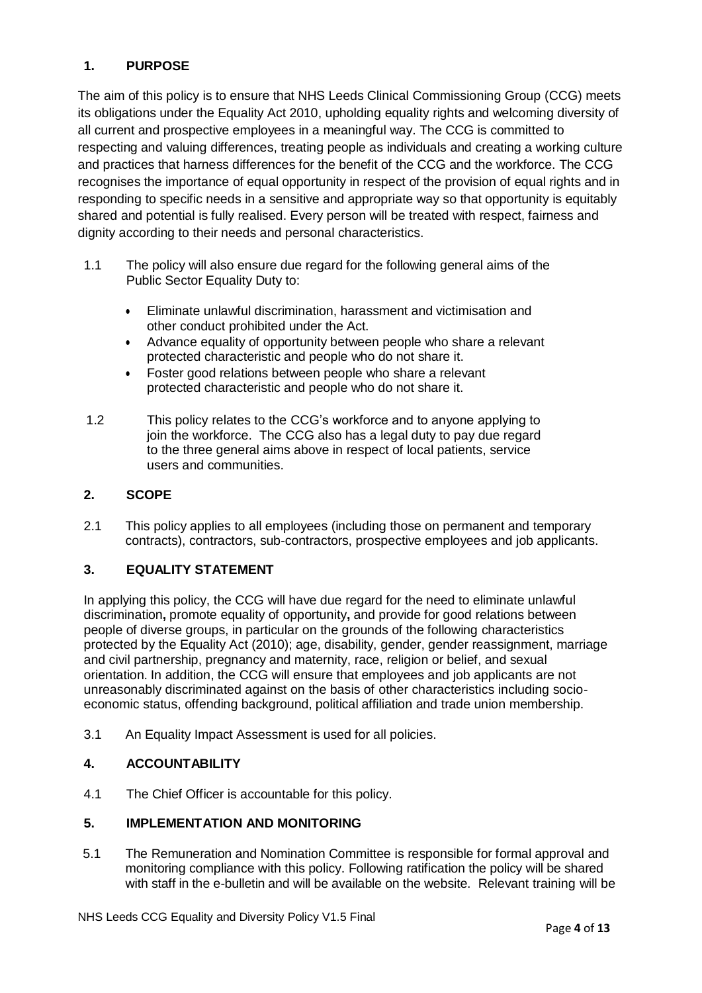# <span id="page-3-0"></span>**1. PURPOSE**

The aim of this policy is to ensure that NHS Leeds Clinical Commissioning Group (CCG) meets its obligations under the Equality Act 2010, upholding equality rights and welcoming diversity of all current and prospective employees in a meaningful way. The CCG is committed to respecting and valuing differences, treating people as individuals and creating a working culture and practices that harness differences for the benefit of the CCG and the workforce. The CCG recognises the importance of equal opportunity in respect of the provision of equal rights and in responding to specific needs in a sensitive and appropriate way so that opportunity is equitably shared and potential is fully realised. Every person will be treated with respect, fairness and dignity according to their needs and personal characteristics.

- 1.1 The policy will also ensure due regard for the following general aims of the Public Sector Equality Duty to:
	- Eliminate unlawful discrimination, harassment and victimisation and other conduct prohibited under the Act.
	- Advance equality of opportunity between people who share a relevant protected characteristic and people who do not share it.
	- Foster good relations between people who share a relevant protected characteristic and people who do not share it.
- 1.2 This policy relates to the CCG's workforce and to anyone applying to join the workforce. The CCG also has a legal duty to pay due regard to the three general aims above in respect of local patients, service users and communities.

## <span id="page-3-1"></span>**2. SCOPE**

2.1 This policy applies to all employees (including those on permanent and temporary contracts), contractors, sub-contractors, prospective employees and job applicants.

# <span id="page-3-2"></span>**3. EQUALITY STATEMENT**

In applying this policy, the CCG will have due regard for the need to eliminate unlawful discrimination**,** promote equality of opportunity**,** and provide for good relations between people of diverse groups, in particular on the grounds of the following characteristics protected by the Equality Act (2010); age, disability, gender, gender reassignment, marriage and civil partnership, pregnancy and maternity, race, religion or belief, and sexual orientation. In addition, the CCG will ensure that employees and job applicants are not unreasonably discriminated against on the basis of other characteristics including socioeconomic status, offending background, political affiliation and trade union membership.

3.1 An Equality Impact Assessment is used for all policies.

## <span id="page-3-3"></span>**4. ACCOUNTABILITY**

4.1 The Chief Officer is accountable for this policy.

## <span id="page-3-4"></span>**5. IMPLEMENTATION AND MONITORING**

5.1 The Remuneration and Nomination Committee is responsible for formal approval and monitoring compliance with this policy. Following ratification the policy will be shared with staff in the e-bulletin and will be available on the website. Relevant training will be

NHS Leeds CCG Equality and Diversity Policy V1.5 Final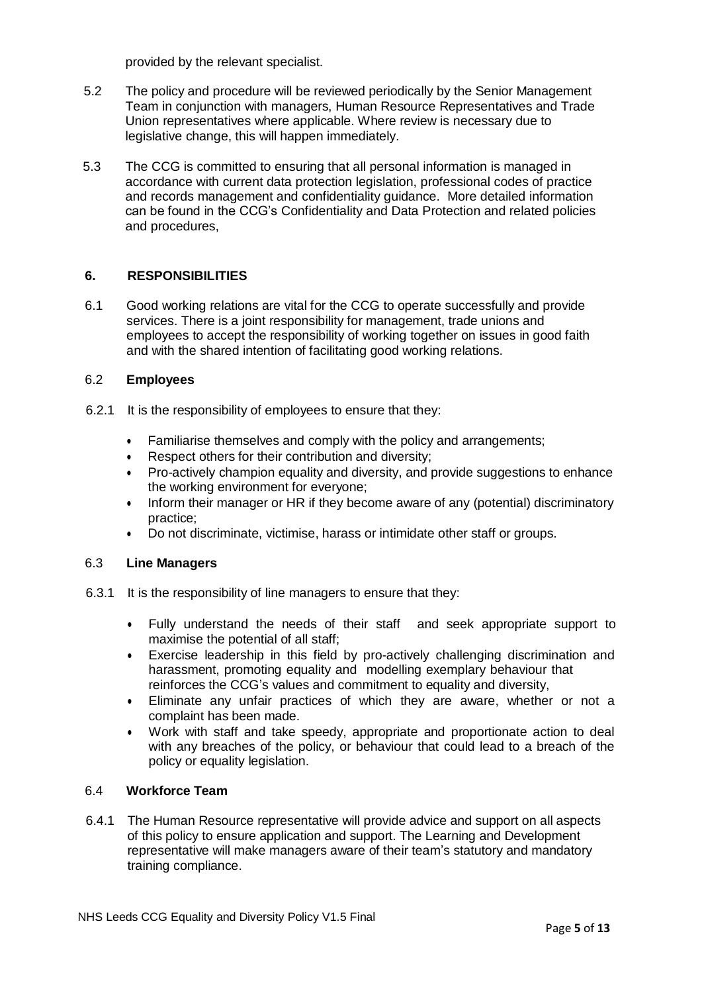provided by the relevant specialist.

- 5.2 The policy and procedure will be reviewed periodically by the Senior Management Team in conjunction with managers, Human Resource Representatives and Trade Union representatives where applicable. Where review is necessary due to legislative change, this will happen immediately.
- 5.3 The CCG is committed to ensuring that all personal information is managed in accordance with current data protection legislation, professional codes of practice and records management and confidentiality guidance. More detailed information can be found in the CCG's Confidentiality and Data Protection and related policies and procedures,

## <span id="page-4-0"></span>**6. RESPONSIBILITIES**

6.1 Good working relations are vital for the CCG to operate successfully and provide services. There is a joint responsibility for management, trade unions and employees to accept the responsibility of working together on issues in good faith and with the shared intention of facilitating good working relations.

## 6.2 **Employees**

- 6.2.1 It is the responsibility of employees to ensure that they:
	- Familiarise themselves and comply with the policy and arrangements;
	- Respect others for their contribution and diversity;
	- Pro-actively champion equality and diversity, and provide suggestions to enhance the working environment for everyone;
	- Inform their manager or HR if they become aware of any (potential) discriminatory practice;
	- Do not discriminate, victimise, harass or intimidate other staff or groups.

## 6.3 **Line Managers**

- 6.3.1 It is the responsibility of line managers to ensure that they:
	- Fully understand the needs of their staff and seek appropriate support to maximise the potential of all staff;
	- Exercise leadership in this field by pro-actively challenging discrimination and harassment, promoting equality and modelling exemplary behaviour that reinforces the CCG's values and commitment to equality and diversity,
	- Eliminate any unfair practices of which they are aware, whether or not a complaint has been made.
	- Work with staff and take speedy, appropriate and proportionate action to deal with any breaches of the policy, or behaviour that could lead to a breach of the policy or equality legislation.

## 6.4 **Workforce Team**

6.4.1 The Human Resource representative will provide advice and support on all aspects of this policy to ensure application and support. The Learning and Development representative will make managers aware of their team's statutory and mandatory training compliance.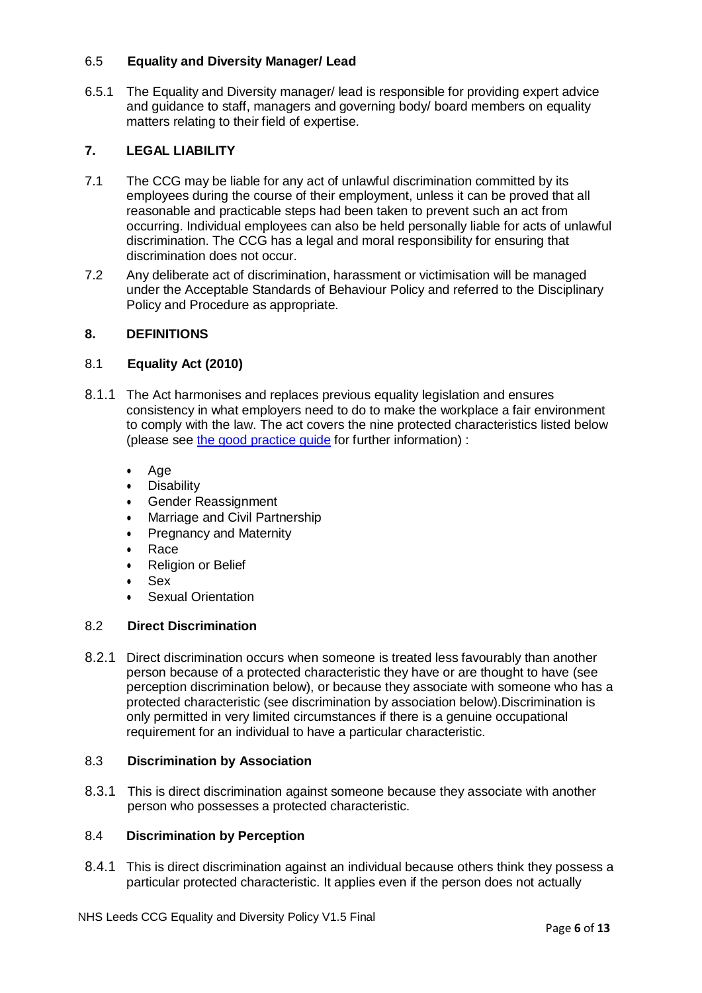#### 6.5 **Equality and Diversity Manager/ Lead**

6.5.1 The Equality and Diversity manager/ lead is responsible for providing expert advice and guidance to staff, managers and governing body/ board members on equality matters relating to their field of expertise.

## <span id="page-5-0"></span>**7. LEGAL LIABILITY**

- 7.1 The CCG may be liable for any act of unlawful discrimination committed by its employees during the course of their employment, unless it can be proved that all reasonable and practicable steps had been taken to prevent such an act from occurring. Individual employees can also be held personally liable for acts of unlawful discrimination. The CCG has a legal and moral responsibility for ensuring that discrimination does not occur.
- 7.2 Any deliberate act of discrimination, harassment or victimisation will be managed under the Acceptable Standards of Behaviour Policy and referred to the Disciplinary Policy and Procedure as appropriate.

## <span id="page-5-1"></span>**8. DEFINITIONS**

## 8.1 **Equality Act (2010)**

- 8.1.1 The Act harmonises and replaces previous equality legislation and ensures consistency in what employers need to do to make the workplace a fair environment to comply with the law. The act covers the nine protected characteristics listed below (please see the [good practice](https://www.equalityhumanrights.com/sites/default/files/good_equality_practice_for_employers_equality_policies_equality_training_and_monitoring.pdf) guide for further information) :
	- Age
	- **•** Disability
	- Gender Reassignment
	- Marriage and Civil Partnership
	- Pregnancy and Maternity
	- Race
	- Religion or Belief
	- Sex
	- Sexual Orientation

#### 8.2 **Direct Discrimination**

8.2.1 Direct discrimination occurs when someone is treated less favourably than another person because of a protected characteristic they have or are thought to have (see perception discrimination below), or because they associate with someone who has a protected characteristic (see discrimination by association below).Discrimination is only permitted in very limited circumstances if there is a genuine occupational requirement for an individual to have a particular characteristic.

#### 8.3 **Discrimination by Association**

8.3.1 This is direct discrimination against someone because they associate with another person who possesses a protected characteristic.

## 8.4 **Discrimination by Perception**

8.4.1 This is direct discrimination against an individual because others think they possess a particular protected characteristic. It applies even if the person does not actually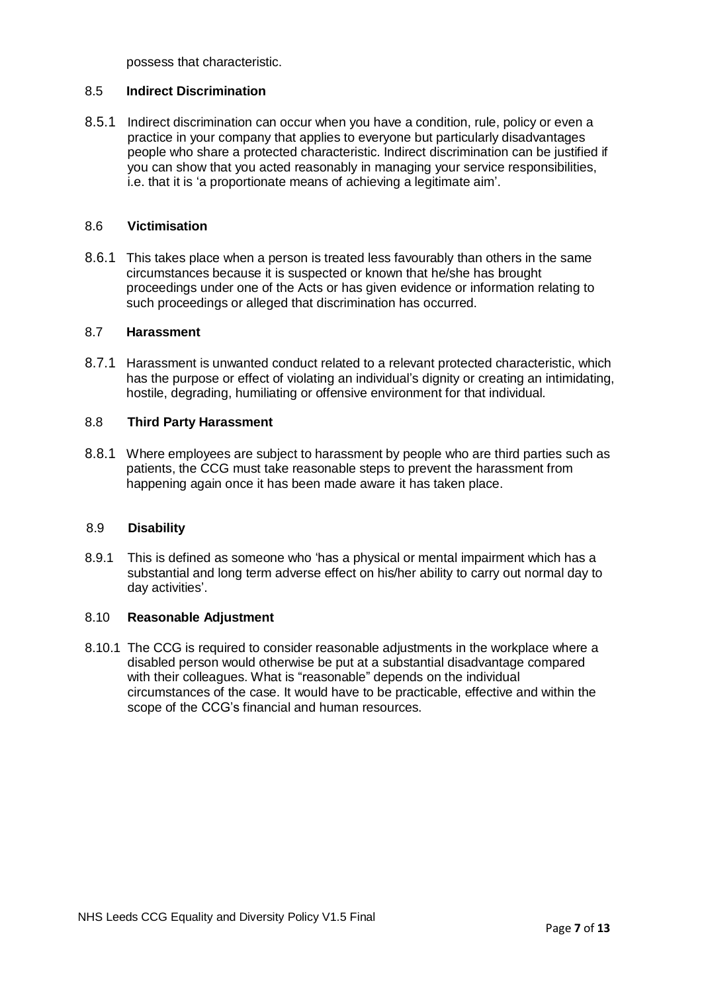possess that characteristic.

#### 8.5 **Indirect Discrimination**

8.5.1 Indirect discrimination can occur when you have a condition, rule, policy or even a practice in your company that applies to everyone but particularly disadvantages people who share a protected characteristic. Indirect discrimination can be justified if you can show that you acted reasonably in managing your service responsibilities, i.e. that it is 'a proportionate means of achieving a legitimate aim'.

#### 8.6 **Victimisation**

8.6.1 This takes place when a person is treated less favourably than others in the same circumstances because it is suspected or known that he/she has brought proceedings under one of the Acts or has given evidence or information relating to such proceedings or alleged that discrimination has occurred.

#### 8.7 **Harassment**

8.7.1 Harassment is unwanted conduct related to a relevant protected characteristic, which has the purpose or effect of violating an individual's dignity or creating an intimidating, hostile, degrading, humiliating or offensive environment for that individual*.*

#### 8.8 **Third Party Harassment**

8.8.1 Where employees are subject to harassment by people who are third parties such as patients, the CCG must take reasonable steps to prevent the harassment from happening again once it has been made aware it has taken place.

#### 8.9 **Disability**

8.9.1 This is defined as someone who 'has a physical or mental impairment which has a substantial and long term adverse effect on his/her ability to carry out normal day to day activities'.

#### 8.10 **Reasonable Adjustment**

8.10.1 The CCG is required to consider reasonable adjustments in the workplace where a disabled person would otherwise be put at a substantial disadvantage compared with their colleagues. What is "reasonable" depends on the individual circumstances of the case. It would have to be practicable, effective and within the scope of the CCG's financial and human resources.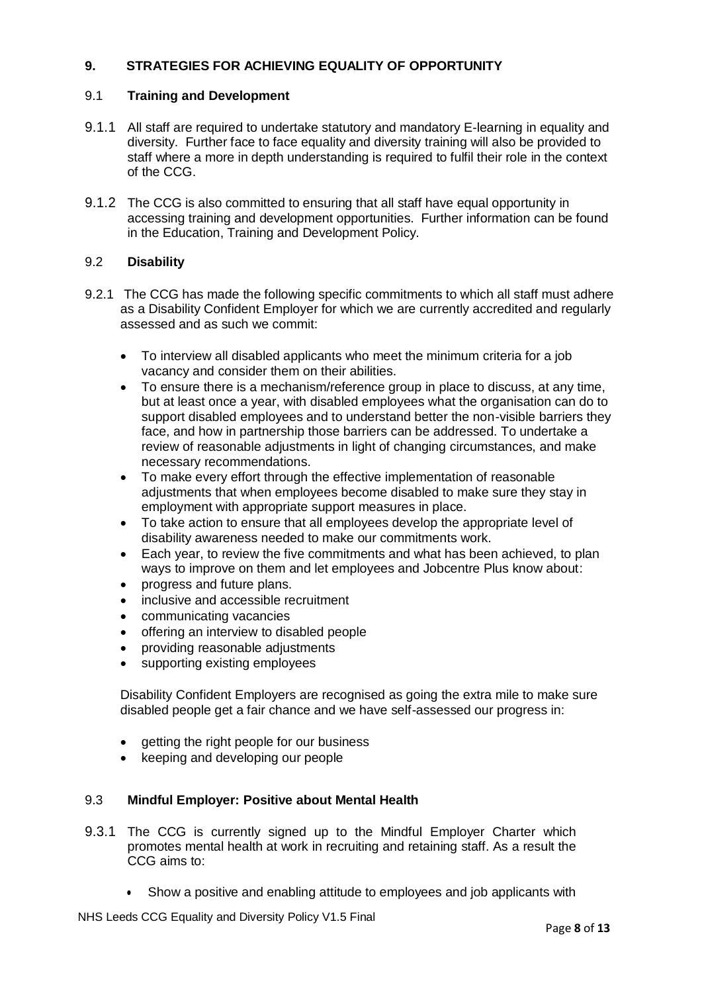# **9. STRATEGIES FOR ACHIEVING EQUALITY OF OPPORTUNITY**

## 9.1 **Training and Development**

- 9.1.1 All staff are required to undertake statutory and mandatory E-learning in equality and diversity. Further face to face equality and diversity training will also be provided to staff where a more in depth understanding is required to fulfil their role in the context of the CCG.
- 9.1.2 The CCG is also committed to ensuring that all staff have equal opportunity in accessing training and development opportunities. Further information can be found in the Education, Training and Development Policy.

## 9.2 **Disability**

- 9.2.1 The CCG has made the following specific commitments to which all staff must adhere as a Disability Confident Employer for which we are currently accredited and regularly assessed and as such we commit:
	- To interview all disabled applicants who meet the minimum criteria for a job vacancy and consider them on their abilities.
	- To ensure there is a mechanism/reference group in place to discuss, at any time, but at least once a year, with disabled employees what the organisation can do to support disabled employees and to understand better the non-visible barriers they face, and how in partnership those barriers can be addressed. To undertake a review of reasonable adjustments in light of changing circumstances, and make necessary recommendations.
	- To make every effort through the effective implementation of reasonable adjustments that when employees become disabled to make sure they stay in employment with appropriate support measures in place.
	- To take action to ensure that all employees develop the appropriate level of disability awareness needed to make our commitments work.
	- Each year, to review the five commitments and what has been achieved, to plan ways to improve on them and let employees and Jobcentre Plus know about:
	- progress and future plans.
	- inclusive and accessible recruitment
	- communicating vacancies
	- offering an interview to disabled people
	- providing reasonable adjustments
	- supporting existing employees

Disability Confident Employers are recognised as going the extra mile to make sure disabled people get a fair chance and we have self-assessed our progress in:

- getting the right people for our business
- keeping and developing our people

## 9.3 **Mindful Employer: Positive about Mental Health**

- 9.3.1 The CCG is currently signed up to the Mindful Employer Charter which promotes mental health at work in recruiting and retaining staff. As a result the CCG aims to:
	- Show a positive and enabling attitude to employees and job applicants with

NHS Leeds CCG Equality and Diversity Policy V1.5 Final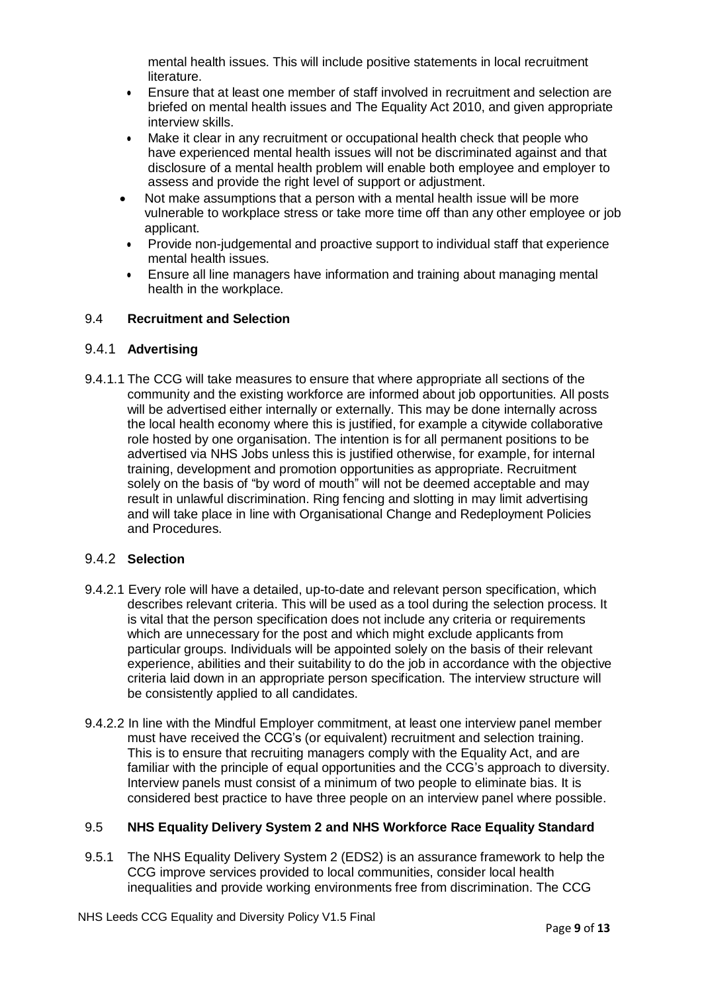mental health issues. This will include positive statements in local recruitment literature.

- Ensure that at least one member of staff involved in recruitment and selection are briefed on mental health issues and The Equality Act 2010, and given appropriate interview skills.
- Make it clear in any recruitment or occupational health check that people who have experienced mental health issues will not be discriminated against and that disclosure of a mental health problem will enable both employee and employer to assess and provide the right level of support or adjustment.
- Not make assumptions that a person with a mental health issue will be more vulnerable to workplace stress or take more time off than any other employee or job applicant.
- Provide non-judgemental and proactive support to individual staff that experience mental health issues.
- Ensure all line managers have information and training about managing mental health in the workplace.

## 9.4 **Recruitment and Selection**

## 9.4.1 **Advertising**

9.4.1.1 The CCG will take measures to ensure that where appropriate all sections of the community and the existing workforce are informed about job opportunities. All posts will be advertised either internally or externally. This may be done internally across the local health economy where this is justified, for example a citywide collaborative role hosted by one organisation. The intention is for all permanent positions to be advertised via NHS Jobs unless this is justified otherwise, for example, for internal training, development and promotion opportunities as appropriate. Recruitment solely on the basis of "by word of mouth" will not be deemed acceptable and may result in unlawful discrimination. Ring fencing and slotting in may limit advertising and will take place in line with Organisational Change and Redeployment Policies and Procedures.

## 9.4.2 **Selection**

- 9.4.2.1 Every role will have a detailed, up-to-date and relevant person specification, which describes relevant criteria. This will be used as a tool during the selection process. It is vital that the person specification does not include any criteria or requirements which are unnecessary for the post and which might exclude applicants from particular groups. Individuals will be appointed solely on the basis of their relevant experience, abilities and their suitability to do the job in accordance with the objective criteria laid down in an appropriate person specification. The interview structure will be consistently applied to all candidates.
- 9.4.2.2 In line with the Mindful Employer commitment, at least one interview panel member must have received the CCG's (or equivalent) recruitment and selection training. This is to ensure that recruiting managers comply with the Equality Act, and are familiar with the principle of equal opportunities and the CCG's approach to diversity. Interview panels must consist of a minimum of two people to eliminate bias. It is considered best practice to have three people on an interview panel where possible.

## 9.5 **NHS Equality Delivery System 2 and NHS Workforce Race Equality Standard**

9.5.1 The NHS Equality Delivery System 2 (EDS2) is an assurance framework to help the CCG improve services provided to local communities, consider local health inequalities and provide working environments free from discrimination. The CCG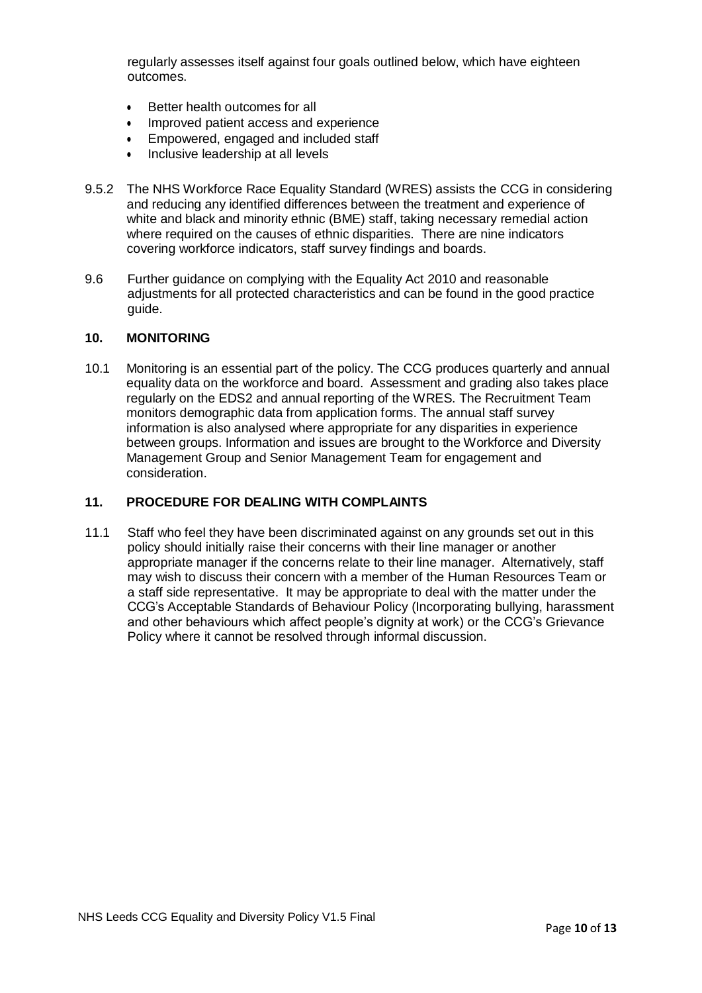regularly assesses itself against four goals outlined below, which have eighteen outcomes.

- Better health outcomes for all
- Improved patient access and experience
- Empowered, engaged and included staff
- Inclusive leadership at all levels
- 9.5.2 The NHS Workforce Race Equality Standard (WRES) assists the CCG in considering and reducing any identified differences between the treatment and experience of white and black and minority ethnic (BME) staff, taking necessary remedial action where required on the causes of ethnic disparities. There are nine indicators covering workforce indicators, staff survey findings and boards.
- 9.6 Further guidance on complying with the Equality Act 2010 and reasonable adjustments for all protected characteristics and can be found in the good practice guide.

#### <span id="page-9-0"></span>**10. MONITORING**

10.1 Monitoring is an essential part of the policy. The CCG produces quarterly and annual equality data on the workforce and board. Assessment and grading also takes place regularly on the EDS2 and annual reporting of the WRES. The Recruitment Team monitors demographic data from application forms. The annual staff survey information is also analysed where appropriate for any disparities in experience between groups. Information and issues are brought to the Workforce and Diversity Management Group and Senior Management Team for engagement and consideration.

## <span id="page-9-1"></span>**11. PROCEDURE FOR DEALING WITH COMPLAINTS**

11.1 Staff who feel they have been discriminated against on any grounds set out in this policy should initially raise their concerns with their line manager or another appropriate manager if the concerns relate to their line manager. Alternatively, staff may wish to discuss their concern with a member of the Human Resources Team or a staff side representative. It may be appropriate to deal with the matter under the CCG's Acceptable Standards of Behaviour Policy (Incorporating bullying, harassment and other behaviours which affect people's dignity at work) or the CCG's Grievance Policy where it cannot be resolved through informal discussion.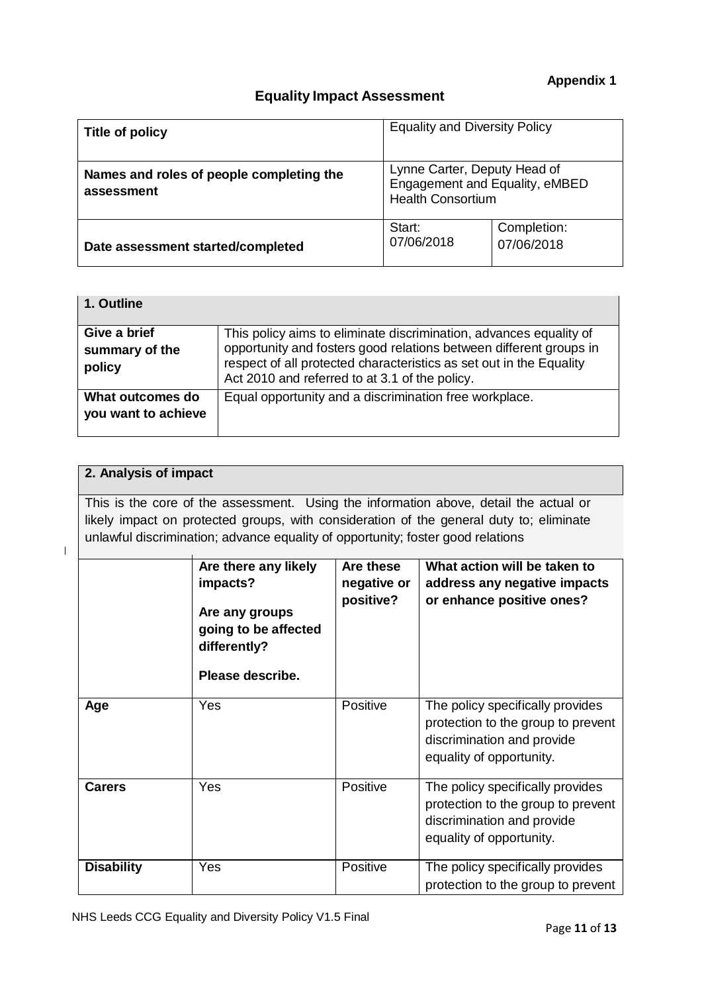# **Equality Impact Assessment**

| Title of policy                                        | <b>Equality and Diversity Policy</b>                                                       |                           |
|--------------------------------------------------------|--------------------------------------------------------------------------------------------|---------------------------|
| Names and roles of people completing the<br>assessment | Lynne Carter, Deputy Head of<br>Engagement and Equality, eMBED<br><b>Health Consortium</b> |                           |
| Date assessment started/completed                      | Start:<br>07/06/2018                                                                       | Completion:<br>07/06/2018 |

| 1. Outline          |                                                                     |
|---------------------|---------------------------------------------------------------------|
|                     |                                                                     |
| Give a brief        | This policy aims to eliminate discrimination, advances equality of  |
| summary of the      | opportunity and fosters good relations between different groups in  |
| policy              | respect of all protected characteristics as set out in the Equality |
|                     | Act 2010 and referred to at 3.1 of the policy.                      |
|                     |                                                                     |
| What outcomes do    | Equal opportunity and a discrimination free workplace.              |
| you want to achieve |                                                                     |
|                     |                                                                     |
|                     |                                                                     |

# **2. Analysis of impact**

This is the core of the assessment. Using the information above, detail the actual or likely impact on protected groups, with consideration of the general duty to; eliminate unlawful discrimination; advance equality of opportunity; foster good relations

 $\overline{1}$ 

|                   | Are there any likely<br>impacts?<br>Are any groups<br>going to be affected<br>differently?<br>Please describe. | Are these<br>negative or<br>positive? | What action will be taken to<br>address any negative impacts<br>or enhance positive ones?                                        |
|-------------------|----------------------------------------------------------------------------------------------------------------|---------------------------------------|----------------------------------------------------------------------------------------------------------------------------------|
| Age               | Yes                                                                                                            | Positive                              | The policy specifically provides<br>protection to the group to prevent<br>discrimination and provide<br>equality of opportunity. |
| <b>Carers</b>     | Yes                                                                                                            | Positive                              | The policy specifically provides<br>protection to the group to prevent<br>discrimination and provide<br>equality of opportunity. |
| <b>Disability</b> | Yes                                                                                                            | Positive                              | The policy specifically provides<br>protection to the group to prevent                                                           |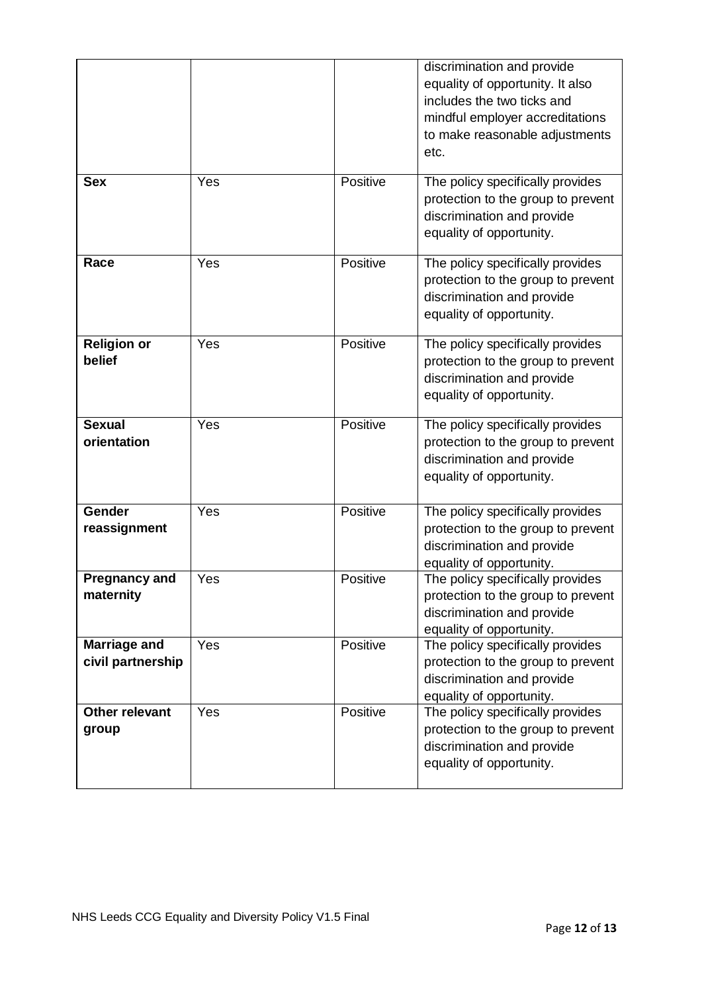|                                   |     |          | discrimination and provide<br>equality of opportunity. It also<br>includes the two ticks and<br>mindful employer accreditations<br>to make reasonable adjustments<br>etc. |
|-----------------------------------|-----|----------|---------------------------------------------------------------------------------------------------------------------------------------------------------------------------|
| <b>Sex</b>                        | Yes | Positive | The policy specifically provides<br>protection to the group to prevent<br>discrimination and provide<br>equality of opportunity.                                          |
| Race                              | Yes | Positive | The policy specifically provides<br>protection to the group to prevent<br>discrimination and provide<br>equality of opportunity.                                          |
| <b>Religion or</b><br>belief      | Yes | Positive | The policy specifically provides<br>protection to the group to prevent<br>discrimination and provide<br>equality of opportunity.                                          |
| <b>Sexual</b><br>orientation      | Yes | Positive | The policy specifically provides<br>protection to the group to prevent<br>discrimination and provide<br>equality of opportunity.                                          |
| Gender<br>reassignment            | Yes | Positive | The policy specifically provides<br>protection to the group to prevent<br>discrimination and provide<br>equality of opportunity.                                          |
| <b>Pregnancy and</b><br>maternity | Yes | Positive | The policy specifically provides<br>protection to the group to prevent<br>discrimination and provide<br>equality of opportunity.                                          |
| Marriage and<br>civil partnership | Yes | Positive | The policy specifically provides<br>protection to the group to prevent<br>discrimination and provide<br>equality of opportunity.                                          |
| <b>Other relevant</b><br>group    | Yes | Positive | The policy specifically provides<br>protection to the group to prevent<br>discrimination and provide<br>equality of opportunity.                                          |